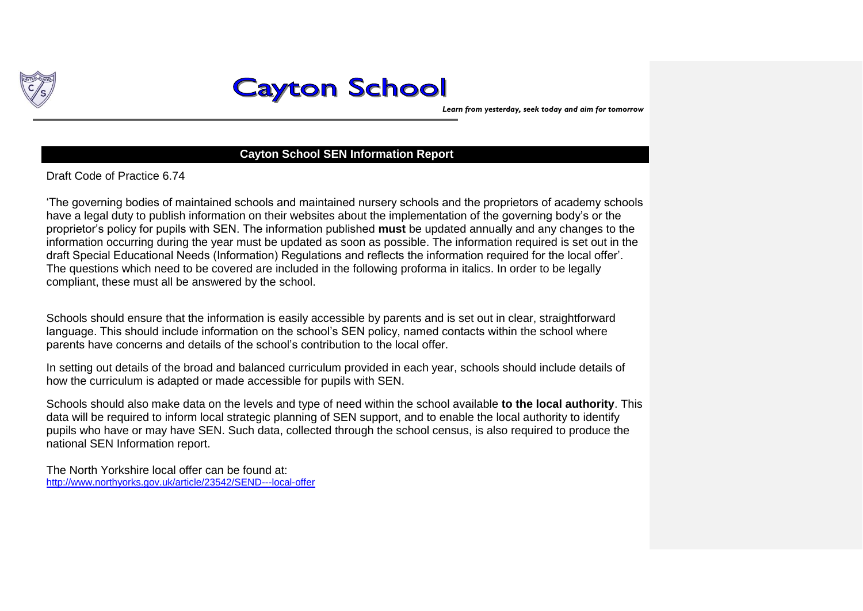

*Learn from yesterday, seek today and aim for tomorrow*

#### **Cayton School SEN Information Report**

Draft Code of Practice 6.74

'The governing bodies of maintained schools and maintained nursery schools and the proprietors of academy schools have a legal duty to publish information on their websites about the implementation of the governing body's or the proprietor's policy for pupils with SEN. The information published **must** be updated annually and any changes to the information occurring during the year must be updated as soon as possible. The information required is set out in the draft Special Educational Needs (Information) Regulations and reflects the information required for the local offer'. The questions which need to be covered are included in the following proforma in italics. In order to be legally compliant, these must all be answered by the school.

Schools should ensure that the information is easily accessible by parents and is set out in clear, straightforward language. This should include information on the school's SEN policy, named contacts within the school where parents have concerns and details of the school's contribution to the local offer.

In setting out details of the broad and balanced curriculum provided in each year, schools should include details of how the curriculum is adapted or made accessible for pupils with SEN.

Schools should also make data on the levels and type of need within the school available **to the local authority**. This data will be required to inform local strategic planning of SEN support, and to enable the local authority to identify pupils who have or may have SEN. Such data, collected through the school census, is also required to produce the national SEN Information report.

The North Yorkshire local offer can be found at: <http://www.northyorks.gov.uk/article/23542/SEND---local-offer>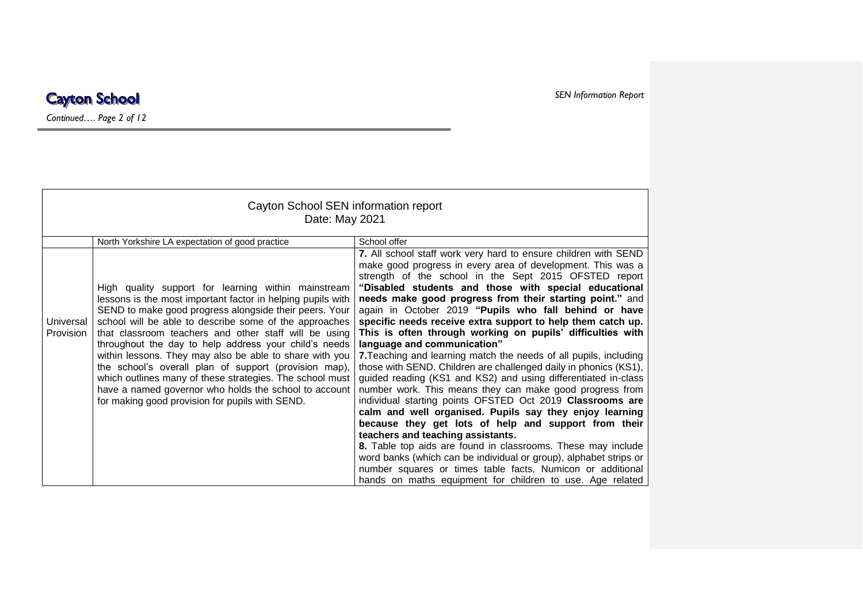#### *SEN Information Report*

#### **Cayton School**

*Continued…. Page 2 of 12*

| Cayton School SEN information report<br>Date: May 2021 |                                                                                                                                                                                                                                                                                                                                                                                                                                                                                                                                                                                                                                                                                                         |                                                                                                                                                                                                                                                                                                                                                                                                                                                                                                                                                                                                                                                                                                                                                                                                                                                                                                                                                                                                                                                                                                                                                                                                                                                                                                               |
|--------------------------------------------------------|---------------------------------------------------------------------------------------------------------------------------------------------------------------------------------------------------------------------------------------------------------------------------------------------------------------------------------------------------------------------------------------------------------------------------------------------------------------------------------------------------------------------------------------------------------------------------------------------------------------------------------------------------------------------------------------------------------|---------------------------------------------------------------------------------------------------------------------------------------------------------------------------------------------------------------------------------------------------------------------------------------------------------------------------------------------------------------------------------------------------------------------------------------------------------------------------------------------------------------------------------------------------------------------------------------------------------------------------------------------------------------------------------------------------------------------------------------------------------------------------------------------------------------------------------------------------------------------------------------------------------------------------------------------------------------------------------------------------------------------------------------------------------------------------------------------------------------------------------------------------------------------------------------------------------------------------------------------------------------------------------------------------------------|
| Universal<br><b>Provision</b>                          | North Yorkshire LA expectation of good practice<br>High quality support for learning within mainstream<br>lessons is the most important factor in helping pupils with<br>SEND to make good progress alongside their peers. Your<br>school will be able to describe some of the approaches<br>that classroom teachers and other staff will be using<br>throughout the day to help address your child's needs<br>within lessons. They may also be able to share with you<br>the school's overall plan of support (provision map),<br>which outlines many of these strategies. The school must<br>have a named governor who holds the school to account<br>for making good provision for pupils with SEND. | School offer<br>7. All school staff work very hard to ensure children with SEND<br>make good progress in every area of development. This was a<br>strength of the school in the Sept 2015 OFSTED report<br>"Disabled students and those with special educational<br>needs make good progress from their starting point." and<br>again in October 2019 "Pupils who fall behind or have<br>specific needs receive extra support to help them catch up.<br>This is often through working on pupils' difficulties with<br>language and communication"<br>7. Teaching and learning match the needs of all pupils, including<br>those with SEND. Children are challenged daily in phonics (KS1),<br>guided reading (KS1 and KS2) and using differentiated in-class<br>number work. This means they can make good progress from<br>individual starting points OFSTED Oct 2019 Classrooms are<br>calm and well organised. Pupils say they enjoy learning<br>because they get lots of help and support from their<br>teachers and teaching assistants.<br>8. Table top aids are found in classrooms. These may include<br>word banks (which can be individual or group), alphabet strips or<br>number squares or times table facts, Numicon or additional<br>hands on maths equipment for children to use. Age related |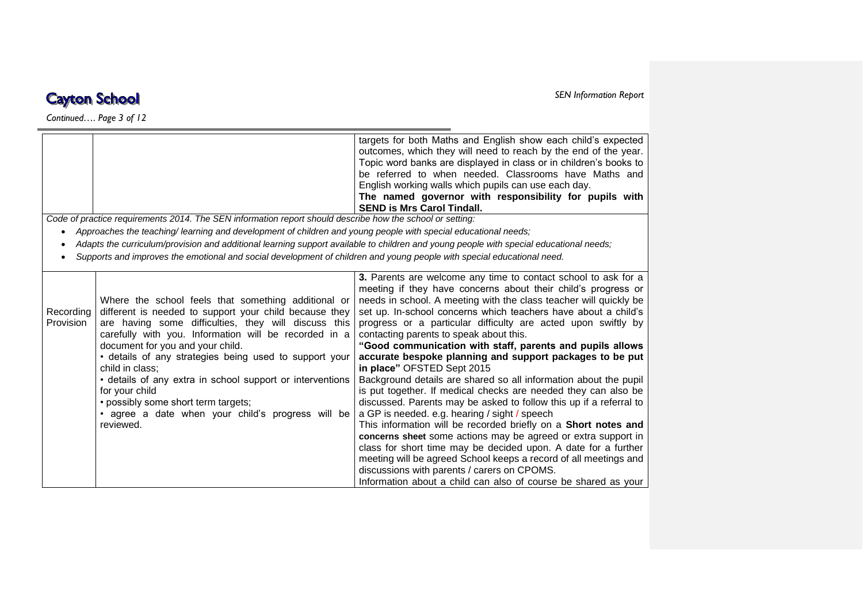*Continued…. Page 3 of 12*

|                               |                                                                                                                                                                                                                                                                                                                                                                                                                                                                                                                                         | targets for both Maths and English show each child's expected<br>outcomes, which they will need to reach by the end of the year.<br>Topic word banks are displayed in class or in children's books to<br>be referred to when needed. Classrooms have Maths and<br>English working walls which pupils can use each day.<br>The named governor with responsibility for pupils with<br><b>SEND is Mrs Carol Tindall.</b>                                                                                                                                                                                                                                                                                                                                                                                                                                                                                                                                                                                                                                                                                                                                                                            |
|-------------------------------|-----------------------------------------------------------------------------------------------------------------------------------------------------------------------------------------------------------------------------------------------------------------------------------------------------------------------------------------------------------------------------------------------------------------------------------------------------------------------------------------------------------------------------------------|--------------------------------------------------------------------------------------------------------------------------------------------------------------------------------------------------------------------------------------------------------------------------------------------------------------------------------------------------------------------------------------------------------------------------------------------------------------------------------------------------------------------------------------------------------------------------------------------------------------------------------------------------------------------------------------------------------------------------------------------------------------------------------------------------------------------------------------------------------------------------------------------------------------------------------------------------------------------------------------------------------------------------------------------------------------------------------------------------------------------------------------------------------------------------------------------------|
|                               | Code of practice requirements 2014. The SEN information report should describe how the school or setting:                                                                                                                                                                                                                                                                                                                                                                                                                               |                                                                                                                                                                                                                                                                                                                                                                                                                                                                                                                                                                                                                                                                                                                                                                                                                                                                                                                                                                                                                                                                                                                                                                                                  |
|                               | Approaches the teaching/learning and development of children and young people with special educational needs;                                                                                                                                                                                                                                                                                                                                                                                                                           |                                                                                                                                                                                                                                                                                                                                                                                                                                                                                                                                                                                                                                                                                                                                                                                                                                                                                                                                                                                                                                                                                                                                                                                                  |
|                               | Supports and improves the emotional and social development of children and young people with special educational need.                                                                                                                                                                                                                                                                                                                                                                                                                  | Adapts the curriculum/provision and additional learning support available to children and young people with special educational needs;                                                                                                                                                                                                                                                                                                                                                                                                                                                                                                                                                                                                                                                                                                                                                                                                                                                                                                                                                                                                                                                           |
| Recording<br><b>Provision</b> | Where the school feels that something additional or<br>different is needed to support your child because they<br>are having some difficulties, they will discuss this<br>carefully with you. Information will be recorded in a<br>document for you and your child.<br>· details of any strategies being used to support your<br>child in class:<br>• details of any extra in school support or interventions<br>for your child<br>• possibly some short term targets;<br>· agree a date when your child's progress will be<br>reviewed. | 3. Parents are welcome any time to contact school to ask for a<br>meeting if they have concerns about their child's progress or<br>needs in school. A meeting with the class teacher will quickly be<br>set up. In-school concerns which teachers have about a child's<br>progress or a particular difficulty are acted upon swiftly by<br>contacting parents to speak about this.<br>"Good communication with staff, parents and pupils allows<br>accurate bespoke planning and support packages to be put<br>in place" OFSTED Sept 2015<br>Background details are shared so all information about the pupil<br>is put together. If medical checks are needed they can also be<br>discussed. Parents may be asked to follow this up if a referral to<br>a GP is needed. e.g. hearing / sight / speech<br>This information will be recorded briefly on a Short notes and<br>concerns sheet some actions may be agreed or extra support in<br>class for short time may be decided upon. A date for a further<br>meeting will be agreed School keeps a record of all meetings and<br>discussions with parents / carers on CPOMS.<br>Information about a child can also of course be shared as your |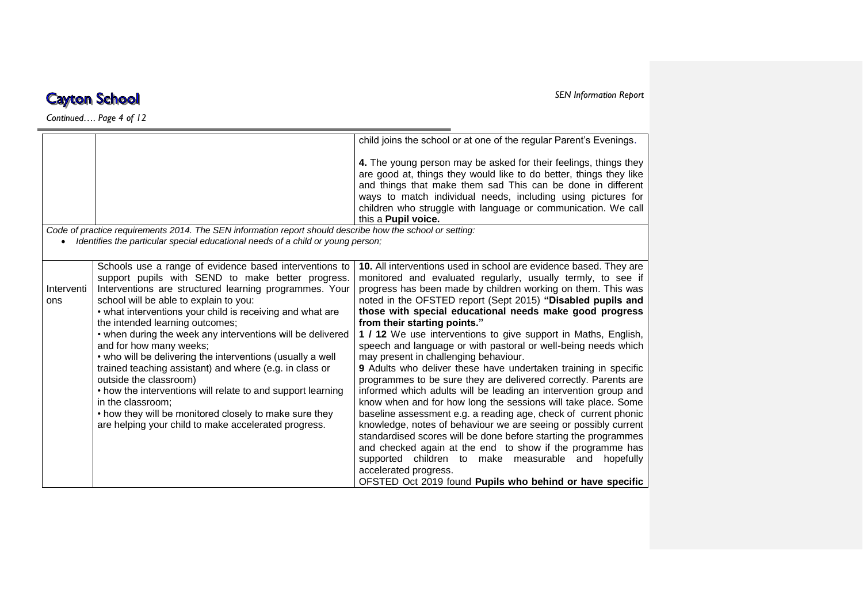*Continued…. Page 4 of 12*

|            |                                                                                                           | child joins the school or at one of the regular Parent's Evenings.                                                                                                                                                                                                                                                                                            |
|------------|-----------------------------------------------------------------------------------------------------------|---------------------------------------------------------------------------------------------------------------------------------------------------------------------------------------------------------------------------------------------------------------------------------------------------------------------------------------------------------------|
|            |                                                                                                           | 4. The young person may be asked for their feelings, things they<br>are good at, things they would like to do better, things they like<br>and things that make them sad This can be done in different<br>ways to match individual needs, including using pictures for<br>children who struggle with language or communication. We call<br>this a Pupil voice. |
|            | Code of practice requirements 2014. The SEN information report should describe how the school or setting: |                                                                                                                                                                                                                                                                                                                                                               |
|            | Identifies the particular special educational needs of a child or young person;                           |                                                                                                                                                                                                                                                                                                                                                               |
|            |                                                                                                           |                                                                                                                                                                                                                                                                                                                                                               |
|            | Schools use a range of evidence based interventions to                                                    | 10. All interventions used in school are evidence based. They are                                                                                                                                                                                                                                                                                             |
|            | support pupils with SEND to make better progress.                                                         | monitored and evaluated regularly, usually termly, to see if                                                                                                                                                                                                                                                                                                  |
| Interventi | Interventions are structured learning programmes. Your                                                    | progress has been made by children working on them. This was                                                                                                                                                                                                                                                                                                  |
| ons        | school will be able to explain to you:                                                                    | noted in the OFSTED report (Sept 2015) "Disabled pupils and                                                                                                                                                                                                                                                                                                   |
|            | • what interventions your child is receiving and what are                                                 | those with special educational needs make good progress                                                                                                                                                                                                                                                                                                       |
|            | the intended learning outcomes;                                                                           | from their starting points."                                                                                                                                                                                                                                                                                                                                  |
|            | • when during the week any interventions will be delivered                                                | 1 / 12 We use interventions to give support in Maths, English,                                                                                                                                                                                                                                                                                                |
|            | and for how many weeks;                                                                                   | speech and language or with pastoral or well-being needs which                                                                                                                                                                                                                                                                                                |
|            | • who will be delivering the interventions (usually a well                                                | may present in challenging behaviour.                                                                                                                                                                                                                                                                                                                         |
|            | trained teaching assistant) and where (e.g. in class or                                                   | <b>9</b> Adults who deliver these have undertaken training in specific                                                                                                                                                                                                                                                                                        |
|            | outside the classroom)                                                                                    | programmes to be sure they are delivered correctly. Parents are                                                                                                                                                                                                                                                                                               |
|            | • how the interventions will relate to and support learning                                               | informed which adults will be leading an intervention group and                                                                                                                                                                                                                                                                                               |
|            | in the classroom:                                                                                         | know when and for how long the sessions will take place. Some                                                                                                                                                                                                                                                                                                 |
|            | • how they will be monitored closely to make sure they                                                    | baseline assessment e.g. a reading age, check of current phonic                                                                                                                                                                                                                                                                                               |
|            | are helping your child to make accelerated progress.                                                      | knowledge, notes of behaviour we are seeing or possibly current                                                                                                                                                                                                                                                                                               |
|            |                                                                                                           | standardised scores will be done before starting the programmes                                                                                                                                                                                                                                                                                               |
|            |                                                                                                           | and checked again at the end to show if the programme has                                                                                                                                                                                                                                                                                                     |
|            |                                                                                                           | supported children to make measurable and hopefully                                                                                                                                                                                                                                                                                                           |
|            |                                                                                                           | accelerated progress.                                                                                                                                                                                                                                                                                                                                         |
|            |                                                                                                           | OFSTED Oct 2019 found Pupils who behind or have specific                                                                                                                                                                                                                                                                                                      |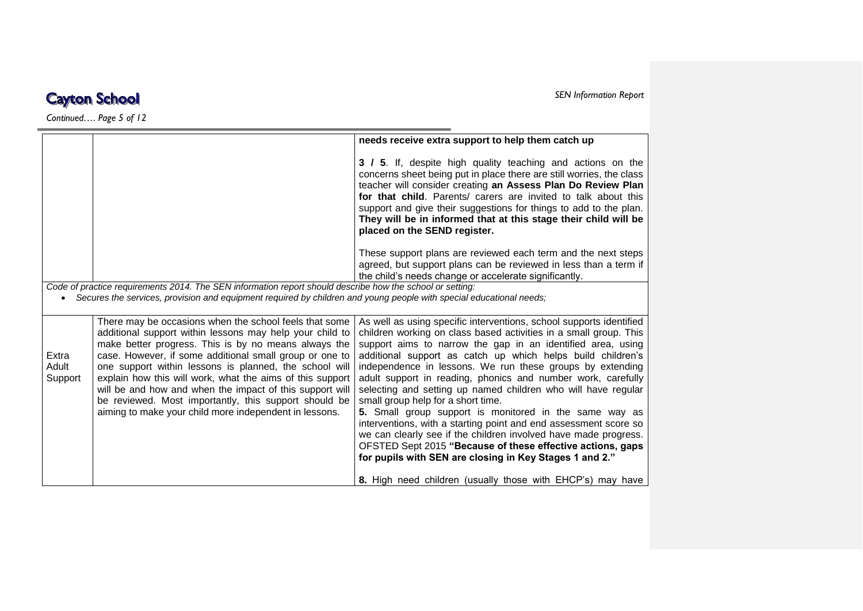*Continued…. Page 5 of 12*

|                  |                                                                                                                                                                                                                                          | needs receive extra support to help them catch up                                                                                                                                                                                                                                                                                                                                                                                             |
|------------------|------------------------------------------------------------------------------------------------------------------------------------------------------------------------------------------------------------------------------------------|-----------------------------------------------------------------------------------------------------------------------------------------------------------------------------------------------------------------------------------------------------------------------------------------------------------------------------------------------------------------------------------------------------------------------------------------------|
|                  |                                                                                                                                                                                                                                          | 3 / 5. If, despite high quality teaching and actions on the<br>concerns sheet being put in place there are still worries, the class<br>teacher will consider creating an Assess Plan Do Review Plan<br>for that child. Parents/ carers are invited to talk about this<br>support and give their suggestions for things to add to the plan.<br>They will be in informed that at this stage their child will be<br>placed on the SEND register. |
|                  |                                                                                                                                                                                                                                          | These support plans are reviewed each term and the next steps<br>agreed, but support plans can be reviewed in less than a term if<br>the child's needs change or accelerate significantly.                                                                                                                                                                                                                                                    |
|                  | Code of practice requirements 2014. The SEN information report should describe how the school or setting:                                                                                                                                |                                                                                                                                                                                                                                                                                                                                                                                                                                               |
| $\bullet$        | Secures the services, provision and equipment required by children and young people with special educational needs;                                                                                                                      |                                                                                                                                                                                                                                                                                                                                                                                                                                               |
|                  |                                                                                                                                                                                                                                          |                                                                                                                                                                                                                                                                                                                                                                                                                                               |
| Extra            | There may be occasions when the school feels that some<br>additional support within lessons may help your child to<br>make better progress. This is by no means always the<br>case. However, if some additional small group or one to    | As well as using specific interventions, school supports identified<br>children working on class based activities in a small group. This<br>support aims to narrow the gap in an identified area, using<br>additional support as catch up which helps build children's                                                                                                                                                                        |
| Adult<br>Support | one support within lessons is planned, the school will<br>explain how this will work, what the aims of this support<br>will be and how and when the impact of this support will<br>be reviewed. Most importantly, this support should be | independence in lessons. We run these groups by extending<br>adult support in reading, phonics and number work, carefully<br>selecting and setting up named children who will have regular<br>small group help for a short time.                                                                                                                                                                                                              |
|                  | aiming to make your child more independent in lessons.                                                                                                                                                                                   | 5. Small group support is monitored in the same way as<br>interventions, with a starting point and end assessment score so                                                                                                                                                                                                                                                                                                                    |
|                  |                                                                                                                                                                                                                                          | we can clearly see if the children involved have made progress.                                                                                                                                                                                                                                                                                                                                                                               |
|                  |                                                                                                                                                                                                                                          | OFSTED Sept 2015 "Because of these effective actions, gaps                                                                                                                                                                                                                                                                                                                                                                                    |
|                  |                                                                                                                                                                                                                                          | for pupils with SEN are closing in Key Stages 1 and 2."                                                                                                                                                                                                                                                                                                                                                                                       |
|                  |                                                                                                                                                                                                                                          | 8. High need children (usually those with EHCP's) may have                                                                                                                                                                                                                                                                                                                                                                                    |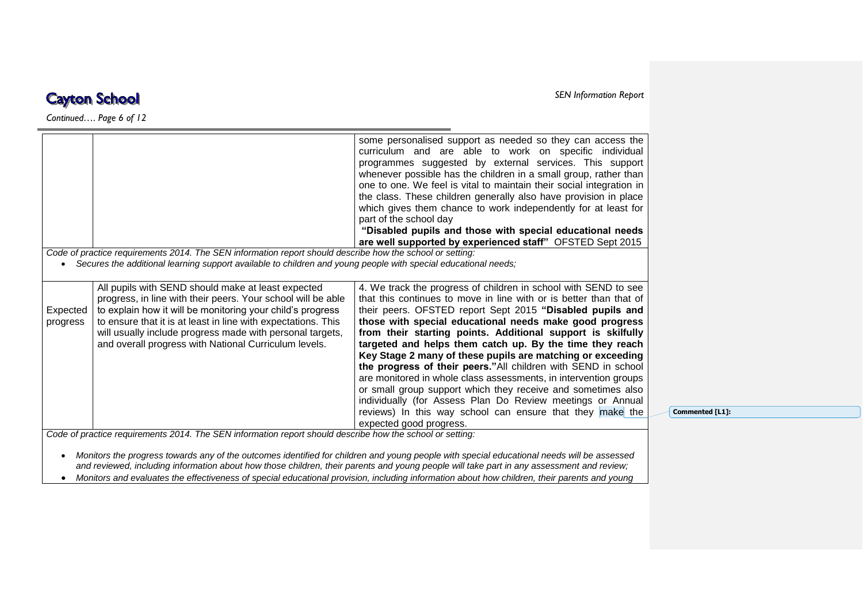*Continued…. Page 6 of 12*

|          |                                                                                                                    | some personalised support as needed so they can access the<br>curriculum and are able to work on specific individual<br>programmes suggested by external services. This support<br>whenever possible has the children in a small group, rather than<br>one to one. We feel is vital to maintain their social integration in<br>the class. These children generally also have provision in place<br>which gives them chance to work independently for at least for<br>part of the school day<br>"Disabled pupils and those with special educational needs<br>are well supported by experienced staff" OFSTED Sept 2015 |
|----------|--------------------------------------------------------------------------------------------------------------------|-----------------------------------------------------------------------------------------------------------------------------------------------------------------------------------------------------------------------------------------------------------------------------------------------------------------------------------------------------------------------------------------------------------------------------------------------------------------------------------------------------------------------------------------------------------------------------------------------------------------------|
|          | Code of practice requirements 2014. The SEN information report should describe how the school or setting:          |                                                                                                                                                                                                                                                                                                                                                                                                                                                                                                                                                                                                                       |
|          | • Secures the additional learning support available to children and young people with special educational needs;   |                                                                                                                                                                                                                                                                                                                                                                                                                                                                                                                                                                                                                       |
|          |                                                                                                                    |                                                                                                                                                                                                                                                                                                                                                                                                                                                                                                                                                                                                                       |
|          |                                                                                                                    |                                                                                                                                                                                                                                                                                                                                                                                                                                                                                                                                                                                                                       |
|          | All pupils with SEND should make at least expected                                                                 | 4. We track the progress of children in school with SEND to see                                                                                                                                                                                                                                                                                                                                                                                                                                                                                                                                                       |
|          | progress, in line with their peers. Your school will be able                                                       | that this continues to move in line with or is better than that of                                                                                                                                                                                                                                                                                                                                                                                                                                                                                                                                                    |
| Expected | to explain how it will be monitoring your child's progress                                                         | their peers. OFSTED report Sept 2015 "Disabled pupils and                                                                                                                                                                                                                                                                                                                                                                                                                                                                                                                                                             |
| progress | to ensure that it is at least in line with expectations. This                                                      | those with special educational needs make good progress                                                                                                                                                                                                                                                                                                                                                                                                                                                                                                                                                               |
|          | will usually include progress made with personal targets,<br>and overall progress with National Curriculum levels. | from their starting points. Additional support is skilfully<br>targeted and helps them catch up. By the time they reach                                                                                                                                                                                                                                                                                                                                                                                                                                                                                               |
|          |                                                                                                                    | Key Stage 2 many of these pupils are matching or exceeding                                                                                                                                                                                                                                                                                                                                                                                                                                                                                                                                                            |
|          |                                                                                                                    | the progress of their peers."All children with SEND in school                                                                                                                                                                                                                                                                                                                                                                                                                                                                                                                                                         |
|          |                                                                                                                    | are monitored in whole class assessments, in intervention groups                                                                                                                                                                                                                                                                                                                                                                                                                                                                                                                                                      |
|          |                                                                                                                    | or small group support which they receive and sometimes also                                                                                                                                                                                                                                                                                                                                                                                                                                                                                                                                                          |
|          |                                                                                                                    | individually (for Assess Plan Do Review meetings or Annual                                                                                                                                                                                                                                                                                                                                                                                                                                                                                                                                                            |
|          |                                                                                                                    | reviews) In this way school can ensure that they make the<br>expected good progress.                                                                                                                                                                                                                                                                                                                                                                                                                                                                                                                                  |

**Commented [L1]:** 

*and reviewed, including information about how those children, their parents and young people will take part in any assessment and review;*  ● Monitors and evaluates the effectiveness of special educational provision, including information about how children, their parents and young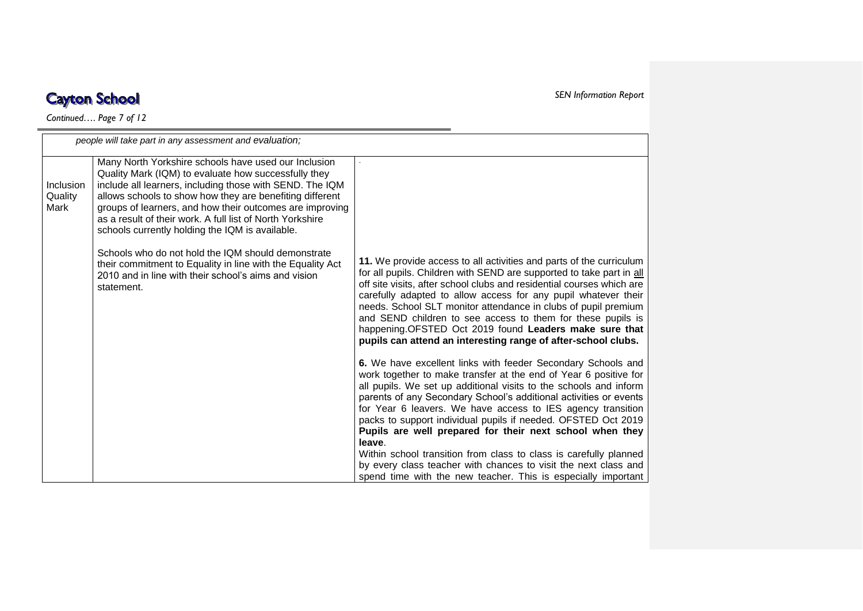$\overline{\phantom{a}}$ 

*Continued…. Page 7 of 12*

|                              | people will take part in any assessment and evaluation;                                                                                                                                                                                                                                                                                                                                                          |                                                                                                                                                                                                                                                                                                                                                                                                                                                                                                                                                    |
|------------------------------|------------------------------------------------------------------------------------------------------------------------------------------------------------------------------------------------------------------------------------------------------------------------------------------------------------------------------------------------------------------------------------------------------------------|----------------------------------------------------------------------------------------------------------------------------------------------------------------------------------------------------------------------------------------------------------------------------------------------------------------------------------------------------------------------------------------------------------------------------------------------------------------------------------------------------------------------------------------------------|
| Inclusion<br>Quality<br>Mark | Many North Yorkshire schools have used our Inclusion<br>Quality Mark (IQM) to evaluate how successfully they<br>include all learners, including those with SEND. The IQM<br>allows schools to show how they are benefiting different<br>groups of learners, and how their outcomes are improving<br>as a result of their work. A full list of North Yorkshire<br>schools currently holding the IQM is available. |                                                                                                                                                                                                                                                                                                                                                                                                                                                                                                                                                    |
|                              | Schools who do not hold the IQM should demonstrate<br>their commitment to Equality in line with the Equality Act<br>2010 and in line with their school's aims and vision<br>statement.                                                                                                                                                                                                                           | 11. We provide access to all activities and parts of the curriculum<br>for all pupils. Children with SEND are supported to take part in all<br>off site visits, after school clubs and residential courses which are<br>carefully adapted to allow access for any pupil whatever their<br>needs. School SLT monitor attendance in clubs of pupil premium<br>and SEND children to see access to them for these pupils is<br>happening.OFSTED Oct 2019 found Leaders make sure that<br>pupils can attend an interesting range of after-school clubs. |
|                              |                                                                                                                                                                                                                                                                                                                                                                                                                  | 6. We have excellent links with feeder Secondary Schools and<br>work together to make transfer at the end of Year 6 positive for<br>all pupils. We set up additional visits to the schools and inform<br>parents of any Secondary School's additional activities or events<br>for Year 6 leavers. We have access to IES agency transition<br>packs to support individual pupils if needed. OFSTED Oct 2019<br>Pupils are well prepared for their next school when they<br>leave.                                                                   |
|                              |                                                                                                                                                                                                                                                                                                                                                                                                                  | Within school transition from class to class is carefully planned<br>by every class teacher with chances to visit the next class and<br>spend time with the new teacher. This is especially important                                                                                                                                                                                                                                                                                                                                              |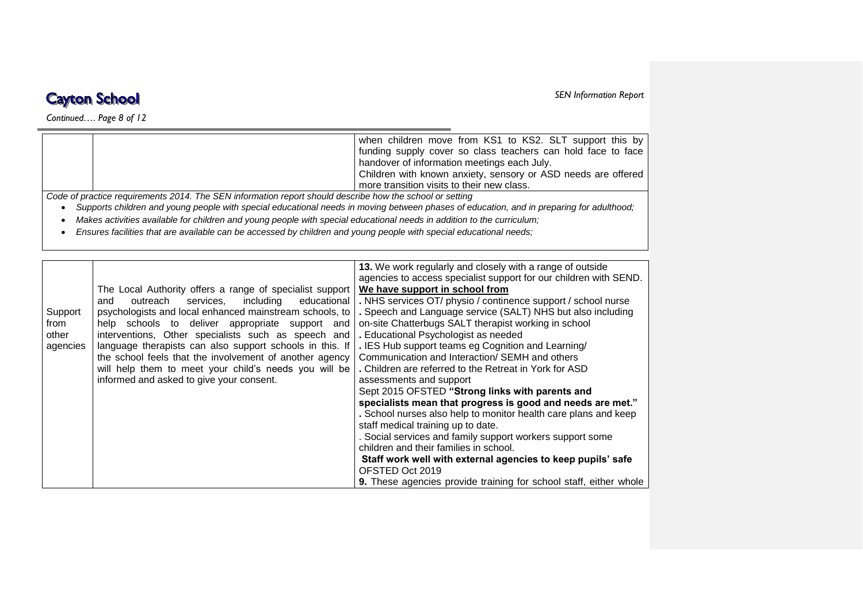*Continued…. Page 8 of 12*

*SEN Information Report* 

|                                                                                                          | when children move from KS1 to KS2. SLT support this by       |
|----------------------------------------------------------------------------------------------------------|---------------------------------------------------------------|
|                                                                                                          | funding supply cover so class teachers can hold face to face  |
|                                                                                                          | handover of information meetings each July.                   |
|                                                                                                          | Children with known anxiety, sensory or ASD needs are offered |
|                                                                                                          | more transition visits to their new class.                    |
| Code of practice requirements 2014. The SEN information report should describe how the school or setting |                                                               |
|                                                                                                          |                                                               |

*Supports children and young people with special educational needs in moving between phases of education, and in preparing for adulthood;*

*Makes activities available for children and young people with special educational needs in addition to the curriculum;*

*Ensures facilities that are available can be accessed by children and young people with special educational needs;*

|          |                                                          | 13. We work regularly and closely with a range of outside                |
|----------|----------------------------------------------------------|--------------------------------------------------------------------------|
|          |                                                          | agencies to access specialist support for our children with SEND.        |
|          |                                                          |                                                                          |
|          | The Local Authority offers a range of specialist support | We have support in school from                                           |
|          | services, including<br>educational<br>outreach<br>and    | . NHS services OT/ physio / continence support / school nurse            |
| Support  | psychologists and local enhanced mainstream schools, to  | . Speech and Language service (SALT) NHS but also including              |
| from     | help schools to deliver appropriate support and          | on-site Chatterbugs SALT therapist working in school                     |
| other    | interventions, Other specialists such as speech and      | . Educational Psychologist as needed                                     |
| agencies | language therapists can also support schools in this. If | . IES Hub support teams eg Cognition and Learning/                       |
|          | the school feels that the involvement of another agency  | Communication and Interaction/ SEMH and others                           |
|          | will help them to meet your child's needs you will be    | . Children are referred to the Retreat in York for ASD                   |
|          | informed and asked to give your consent.                 | assessments and support                                                  |
|          |                                                          | Sept 2015 OFSTED "Strong links with parents and                          |
|          |                                                          | specialists mean that progress is good and needs are met."               |
|          |                                                          | . School nurses also help to monitor health care plans and keep          |
|          |                                                          | staff medical training up to date.                                       |
|          |                                                          | . Social services and family support workers support some                |
|          |                                                          | children and their families in school.                                   |
|          |                                                          |                                                                          |
|          |                                                          | Staff work well with external agencies to keep pupils' safe              |
|          |                                                          | OFSTED Oct 2019                                                          |
|          |                                                          | <b>9.</b> These agencies provide training for school staff, either whole |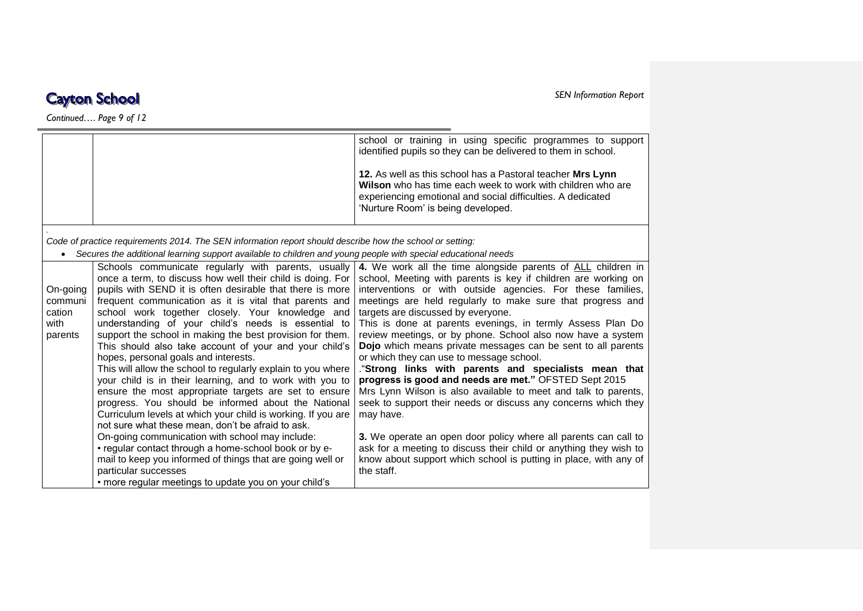*Continued…. Page 9 of 12*

|                     |                                                                                                                                                                                | school or training in using specific programmes to support<br>identified pupils so they can be delivered to them in school.                                                                                                    |
|---------------------|--------------------------------------------------------------------------------------------------------------------------------------------------------------------------------|--------------------------------------------------------------------------------------------------------------------------------------------------------------------------------------------------------------------------------|
|                     |                                                                                                                                                                                | 12. As well as this school has a Pastoral teacher Mrs Lynn<br>Wilson who has time each week to work with children who are<br>experiencing emotional and social difficulties. A dedicated<br>'Nurture Room' is being developed. |
|                     | Code of practice requirements 2014. The SEN information report should describe how the school or setting:                                                                      |                                                                                                                                                                                                                                |
| $\bullet$           | Secures the additional learning support available to children and young people with special educational needs                                                                  |                                                                                                                                                                                                                                |
|                     | Schools communicate regularly with parents, usually<br>once a term, to discuss how well their child is doing. For<br>pupils with SEND it is often desirable that there is more | 4. We work all the time alongside parents of ALL children in<br>school, Meeting with parents is key if children are working on                                                                                                 |
| On-going<br>communi | frequent communication as it is vital that parents and                                                                                                                         | interventions or with outside agencies. For these families,<br>meetings are held regularly to make sure that progress and                                                                                                      |
| cation              | school work together closely. Your knowledge and                                                                                                                               | targets are discussed by everyone.                                                                                                                                                                                             |
| with                | understanding of your child's needs is essential to<br>support the school in making the best provision for them.                                                               | This is done at parents evenings, in termly Assess Plan Do<br>review meetings, or by phone. School also now have a system                                                                                                      |
| parents             | This should also take account of your and your child's<br>hopes, personal goals and interests.                                                                                 | Dojo which means private messages can be sent to all parents<br>or which they can use to message school.                                                                                                                       |
|                     | This will allow the school to regularly explain to you where<br>your child is in their learning, and to work with you to                                                       | "Strong links with parents and specialists mean that<br>progress is good and needs are met." OFSTED Sept 2015                                                                                                                  |
|                     | ensure the most appropriate targets are set to ensure<br>progress. You should be informed about the National                                                                   | Mrs Lynn Wilson is also available to meet and talk to parents,<br>seek to support their needs or discuss any concerns which they                                                                                               |
|                     | Curriculum levels at which your child is working. If you are<br>not sure what these mean, don't be afraid to ask.                                                              | may have.                                                                                                                                                                                                                      |
|                     | On-going communication with school may include:                                                                                                                                | 3. We operate an open door policy where all parents can call to                                                                                                                                                                |
|                     | • regular contact through a home-school book or by e-<br>mail to keep you informed of things that are going well or                                                            | ask for a meeting to discuss their child or anything they wish to<br>know about support which school is putting in place, with any of                                                                                          |
|                     | particular successes                                                                                                                                                           | the staff.                                                                                                                                                                                                                     |
|                     | • more regular meetings to update you on your child's                                                                                                                          |                                                                                                                                                                                                                                |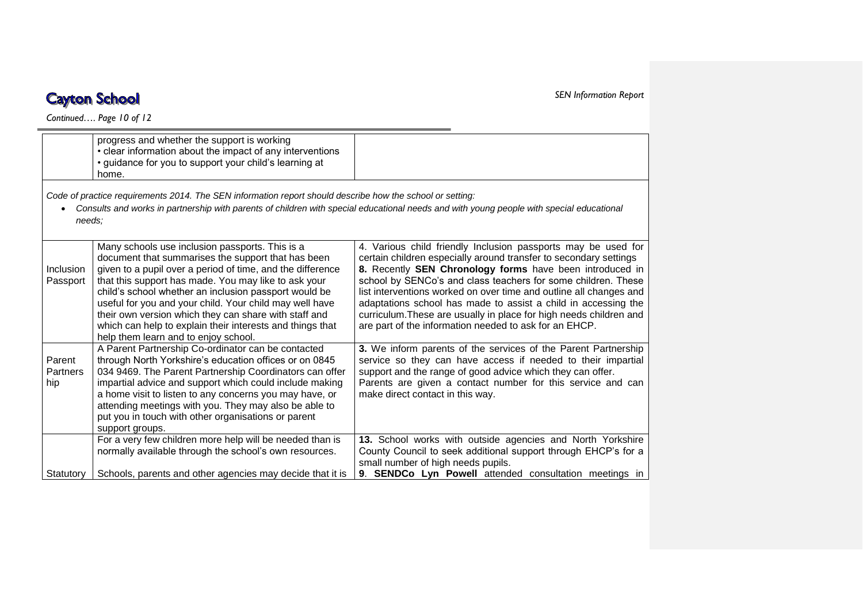*Continued…. Page 10 of 12*

|                           | progress and whether the support is working<br>• clear information about the impact of any interventions<br>• guidance for you to support your child's learning at<br>home.                                                                                                                                                                                                                                                                                                                                   |                                                                                                                                                                                                                                                                                                                                                                                                                                                                                                                                         |
|---------------------------|---------------------------------------------------------------------------------------------------------------------------------------------------------------------------------------------------------------------------------------------------------------------------------------------------------------------------------------------------------------------------------------------------------------------------------------------------------------------------------------------------------------|-----------------------------------------------------------------------------------------------------------------------------------------------------------------------------------------------------------------------------------------------------------------------------------------------------------------------------------------------------------------------------------------------------------------------------------------------------------------------------------------------------------------------------------------|
| needs:                    | Code of practice requirements 2014. The SEN information report should describe how the school or setting:                                                                                                                                                                                                                                                                                                                                                                                                     | Consults and works in partnership with parents of children with special educational needs and with young people with special educational                                                                                                                                                                                                                                                                                                                                                                                                |
| Inclusion<br>Passport     | Many schools use inclusion passports. This is a<br>document that summarises the support that has been<br>given to a pupil over a period of time, and the difference<br>that this support has made. You may like to ask your<br>child's school whether an inclusion passport would be<br>useful for you and your child. Your child may well have<br>their own version which they can share with staff and<br>which can help to explain their interests and things that<br>help them learn and to enjoy school. | 4. Various child friendly Inclusion passports may be used for<br>certain children especially around transfer to secondary settings<br>8. Recently SEN Chronology forms have been introduced in<br>school by SENCo's and class teachers for some children. These<br>list interventions worked on over time and outline all changes and<br>adaptations school has made to assist a child in accessing the<br>curriculum. These are usually in place for high needs children and<br>are part of the information needed to ask for an EHCP. |
| Parent<br>Partners<br>hip | A Parent Partnership Co-ordinator can be contacted<br>through North Yorkshire's education offices or on 0845<br>034 9469. The Parent Partnership Coordinators can offer<br>impartial advice and support which could include making<br>a home visit to listen to any concerns you may have, or<br>attending meetings with you. They may also be able to<br>put you in touch with other organisations or parent<br>support groups.                                                                              | 3. We inform parents of the services of the Parent Partnership<br>service so they can have access if needed to their impartial<br>support and the range of good advice which they can offer.<br>Parents are given a contact number for this service and can<br>make direct contact in this way.                                                                                                                                                                                                                                         |
| Statutory                 | For a very few children more help will be needed than is<br>normally available through the school's own resources.<br>Schools, parents and other agencies may decide that it is                                                                                                                                                                                                                                                                                                                               | 13. School works with outside agencies and North Yorkshire<br>County Council to seek additional support through EHCP's for a<br>small number of high needs pupils.<br>9. SENDCo Lyn Powell attended consultation meetings in                                                                                                                                                                                                                                                                                                            |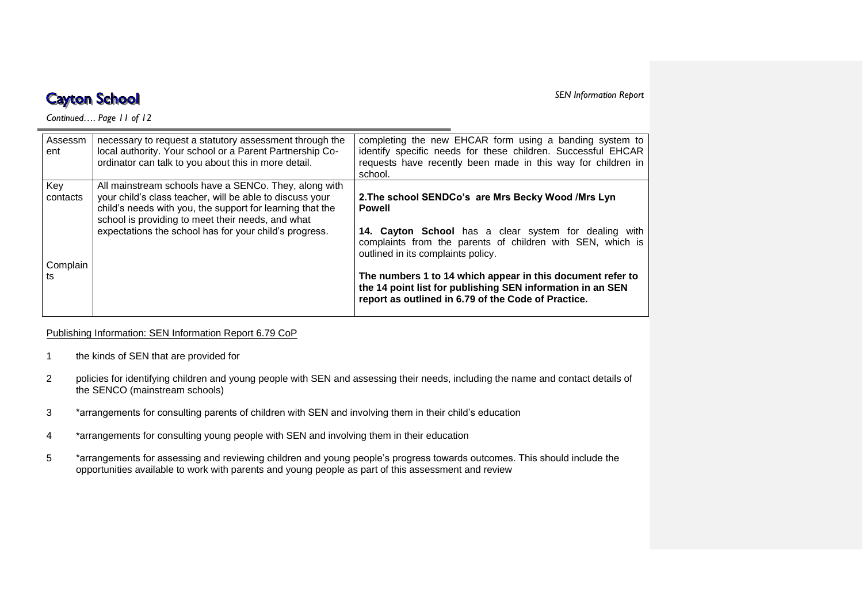*SEN Information Report* 

*Continued…. Page 11 of 12*

| Assessm<br>ent  | necessary to request a statutory assessment through the<br>local authority. Your school or a Parent Partnership Co-<br>ordinator can talk to you about this in more detail.                                                                                                                   | completing the new EHCAR form using a banding system to<br>identify specific needs for these children. Successful EHCAR<br>requests have recently been made in this way for children in<br>school. |
|-----------------|-----------------------------------------------------------------------------------------------------------------------------------------------------------------------------------------------------------------------------------------------------------------------------------------------|----------------------------------------------------------------------------------------------------------------------------------------------------------------------------------------------------|
| Key<br>contacts | All mainstream schools have a SENCo. They, along with<br>your child's class teacher, will be able to discuss your<br>child's needs with you, the support for learning that the<br>school is providing to meet their needs, and what<br>expectations the school has for your child's progress. | 2. The school SENDCo's are Mrs Becky Wood / Mrs Lyn<br><b>Powell</b>                                                                                                                               |
| Complain        |                                                                                                                                                                                                                                                                                               | 14. Cayton School has a clear system for dealing with<br>complaints from the parents of children with SEN, which is<br>outlined in its complaints policy.                                          |
| ts              |                                                                                                                                                                                                                                                                                               | The numbers 1 to 14 which appear in this document refer to<br>the 14 point list for publishing SEN information in an SEN<br>report as outlined in 6.79 of the Code of Practice.                    |

Publishing Information: SEN Information Report 6.79 CoP

- 1 the kinds of SEN that are provided for
- 2 policies for identifying children and young people with SEN and assessing their needs, including the name and contact details of the SENCO (mainstream schools)
- 3 \*arrangements for consulting parents of children with SEN and involving them in their child's education
- 4 \*arrangements for consulting young people with SEN and involving them in their education
- 5 \*arrangements for assessing and reviewing children and young people's progress towards outcomes. This should include the opportunities available to work with parents and young people as part of this assessment and review